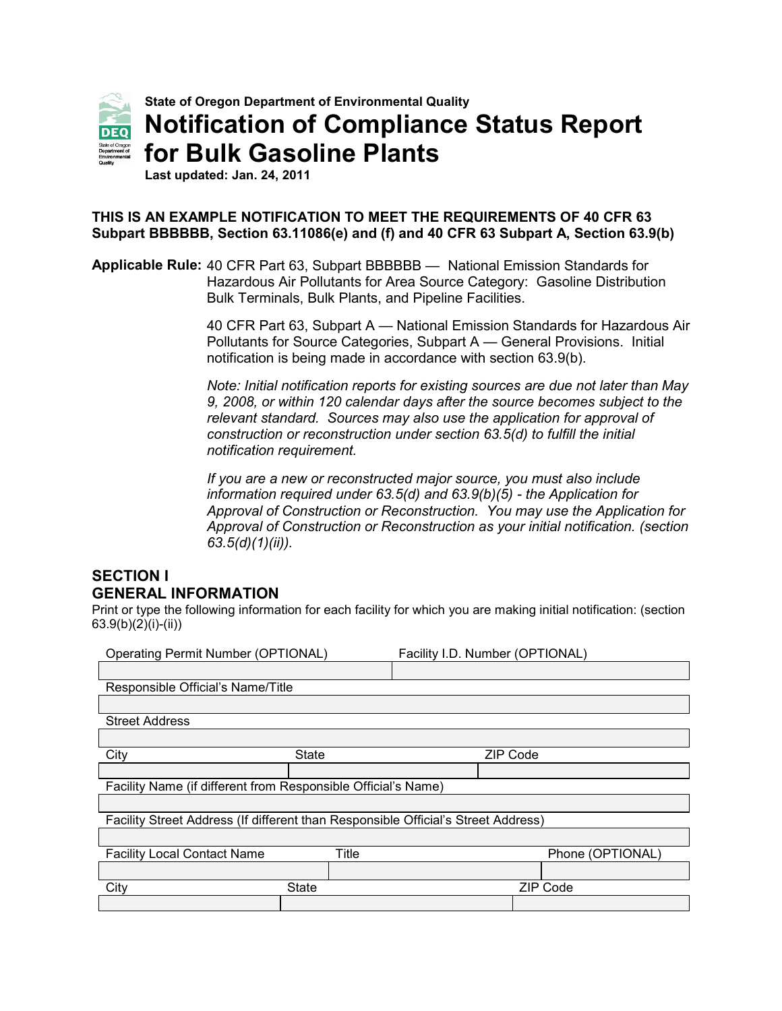

**Last updated: Jan. 24, 2011**

## **THIS IS AN EXAMPLE NOTIFICATION TO MEET THE REQUIREMENTS OF 40 CFR 63 Subpart BBBBBB, Section 63.11086(e) and (f) and 40 CFR 63 Subpart A, Section 63.9(b)**

**Applicable Rule:** 40 CFR Part 63, Subpart BBBBBB — National Emission Standards for Hazardous Air Pollutants for Area Source Category: Gasoline Distribution Bulk Terminals, Bulk Plants, and Pipeline Facilities.

> 40 CFR Part 63, Subpart A — National Emission Standards for Hazardous Air Pollutants for Source Categories, Subpart A — General Provisions. Initial notification is being made in accordance with section 63.9(b).

> *Note: Initial notification reports for existing sources are due not later than May 9, 2008, or within 120 calendar days after the source becomes subject to the relevant standard. Sources may also use the application for approval of construction or reconstruction under section 63.5(d) to fulfill the initial notification requirement.*

> *If you are a new or reconstructed major source, you must also include information required under 63.5(d) and 63.9(b)(5) - the Application for Approval of Construction or Reconstruction. You may use the Application for Approval of Construction or Reconstruction as your initial notification. (section 63.5(d)(1)(ii)).*

## **SECTION I GENERAL INFORMATION**

Print or type the following information for each facility for which you are making initial notification: (section 63.9(b)(2)(i)-(ii))

| <b>Operating Permit Number (OPTIONAL)</b>                                         |              |                  | Facility I.D. Number (OPTIONAL) |                 |  |  |  |
|-----------------------------------------------------------------------------------|--------------|------------------|---------------------------------|-----------------|--|--|--|
|                                                                                   |              |                  |                                 |                 |  |  |  |
| Responsible Official's Name/Title                                                 |              |                  |                                 |                 |  |  |  |
|                                                                                   |              |                  |                                 |                 |  |  |  |
| <b>Street Address</b>                                                             |              |                  |                                 |                 |  |  |  |
|                                                                                   |              |                  |                                 |                 |  |  |  |
| City                                                                              | <b>State</b> |                  | <b>ZIP Code</b>                 |                 |  |  |  |
|                                                                                   |              |                  |                                 |                 |  |  |  |
| Facility Name (if different from Responsible Official's Name)                     |              |                  |                                 |                 |  |  |  |
|                                                                                   |              |                  |                                 |                 |  |  |  |
| Facility Street Address (If different than Responsible Official's Street Address) |              |                  |                                 |                 |  |  |  |
|                                                                                   |              |                  |                                 |                 |  |  |  |
| Title<br><b>Facility Local Contact Name</b>                                       |              | Phone (OPTIONAL) |                                 |                 |  |  |  |
|                                                                                   |              |                  |                                 |                 |  |  |  |
| City                                                                              | <b>State</b> |                  |                                 | <b>ZIP Code</b> |  |  |  |
|                                                                                   |              |                  |                                 |                 |  |  |  |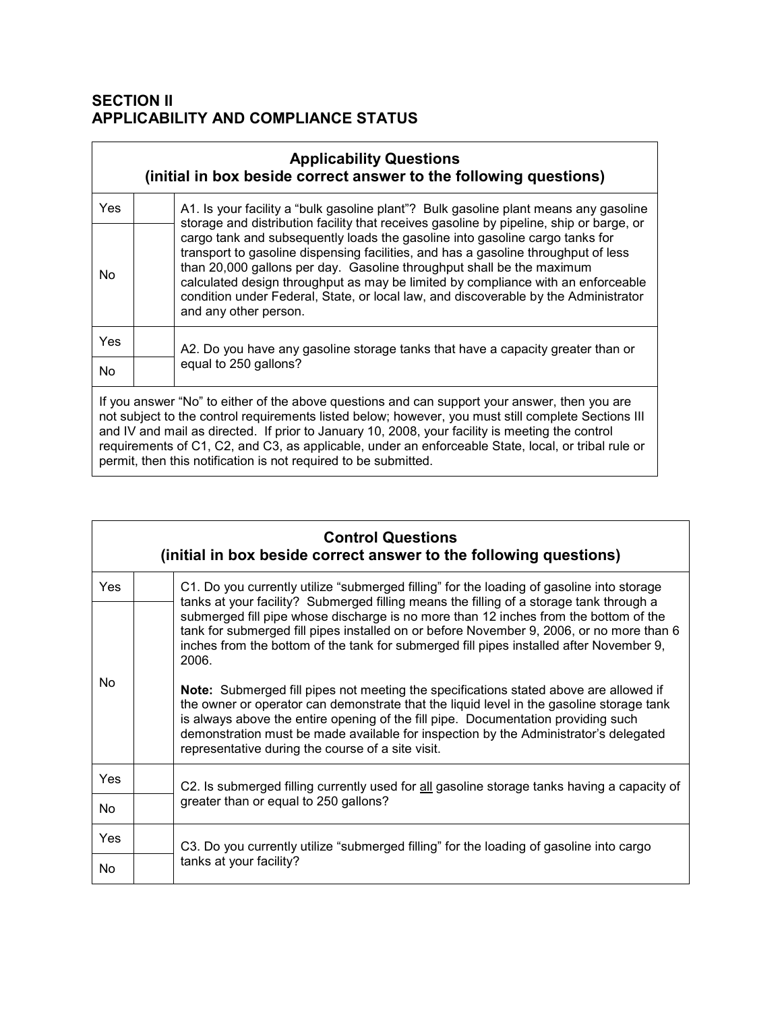# **SECTION II APPLICABILITY AND COMPLIANCE STATUS**

| <b>Applicability Questions</b><br>(initial in box beside correct answer to the following questions)                                                                                                                                                                                                                                                                                                                                                                               |  |                                                                                                                                                                                                                                                                                                                                                                                                                                                                                                                                            |  |  |
|-----------------------------------------------------------------------------------------------------------------------------------------------------------------------------------------------------------------------------------------------------------------------------------------------------------------------------------------------------------------------------------------------------------------------------------------------------------------------------------|--|--------------------------------------------------------------------------------------------------------------------------------------------------------------------------------------------------------------------------------------------------------------------------------------------------------------------------------------------------------------------------------------------------------------------------------------------------------------------------------------------------------------------------------------------|--|--|
| <b>Yes</b>                                                                                                                                                                                                                                                                                                                                                                                                                                                                        |  | A1. Is your facility a "bulk gasoline plant"? Bulk gasoline plant means any gasoline                                                                                                                                                                                                                                                                                                                                                                                                                                                       |  |  |
| No.                                                                                                                                                                                                                                                                                                                                                                                                                                                                               |  | storage and distribution facility that receives gasoline by pipeline, ship or barge, or<br>cargo tank and subsequently loads the gasoline into gasoline cargo tanks for<br>transport to gasoline dispensing facilities, and has a gasoline throughput of less<br>than 20,000 gallons per day. Gasoline throughput shall be the maximum<br>calculated design throughput as may be limited by compliance with an enforceable<br>condition under Federal, State, or local law, and discoverable by the Administrator<br>and any other person. |  |  |
| <b>Yes</b>                                                                                                                                                                                                                                                                                                                                                                                                                                                                        |  | A2. Do you have any gasoline storage tanks that have a capacity greater than or                                                                                                                                                                                                                                                                                                                                                                                                                                                            |  |  |
| No.                                                                                                                                                                                                                                                                                                                                                                                                                                                                               |  | equal to 250 gallons?                                                                                                                                                                                                                                                                                                                                                                                                                                                                                                                      |  |  |
| If you answer "No" to either of the above questions and can support your answer, then you are<br>not subject to the control requirements listed below; however, you must still complete Sections III<br>and IV and mail as directed. If prior to January 10, 2008, your facility is meeting the control<br>requirements of C1, C2, and C3, as applicable, under an enforceable State, local, or tribal rule or<br>permit, then this notification is not required to be submitted. |  |                                                                                                                                                                                                                                                                                                                                                                                                                                                                                                                                            |  |  |

| <b>Control Questions</b><br>(initial in box beside correct answer to the following questions) |                                                                                                                                                                                                                                                                                                                                                                                                                     |  |  |  |  |  |
|-----------------------------------------------------------------------------------------------|---------------------------------------------------------------------------------------------------------------------------------------------------------------------------------------------------------------------------------------------------------------------------------------------------------------------------------------------------------------------------------------------------------------------|--|--|--|--|--|
| <b>Yes</b>                                                                                    | C1. Do you currently utilize "submerged filling" for the loading of gasoline into storage<br>tanks at your facility? Submerged filling means the filling of a storage tank through a                                                                                                                                                                                                                                |  |  |  |  |  |
|                                                                                               | submerged fill pipe whose discharge is no more than 12 inches from the bottom of the<br>tank for submerged fill pipes installed on or before November 9, 2006, or no more than 6<br>inches from the bottom of the tank for submerged fill pipes installed after November 9,<br>2006.                                                                                                                                |  |  |  |  |  |
| No.                                                                                           | Note: Submerged fill pipes not meeting the specifications stated above are allowed if<br>the owner or operator can demonstrate that the liquid level in the gasoline storage tank<br>is always above the entire opening of the fill pipe. Documentation providing such<br>demonstration must be made available for inspection by the Administrator's delegated<br>representative during the course of a site visit. |  |  |  |  |  |
| Yes                                                                                           | C2. Is submerged filling currently used for all gasoline storage tanks having a capacity of                                                                                                                                                                                                                                                                                                                         |  |  |  |  |  |
| No.                                                                                           | greater than or equal to 250 gallons?                                                                                                                                                                                                                                                                                                                                                                               |  |  |  |  |  |
| Yes                                                                                           | C3. Do you currently utilize "submerged filling" for the loading of gasoline into cargo                                                                                                                                                                                                                                                                                                                             |  |  |  |  |  |
| No.                                                                                           | tanks at your facility?                                                                                                                                                                                                                                                                                                                                                                                             |  |  |  |  |  |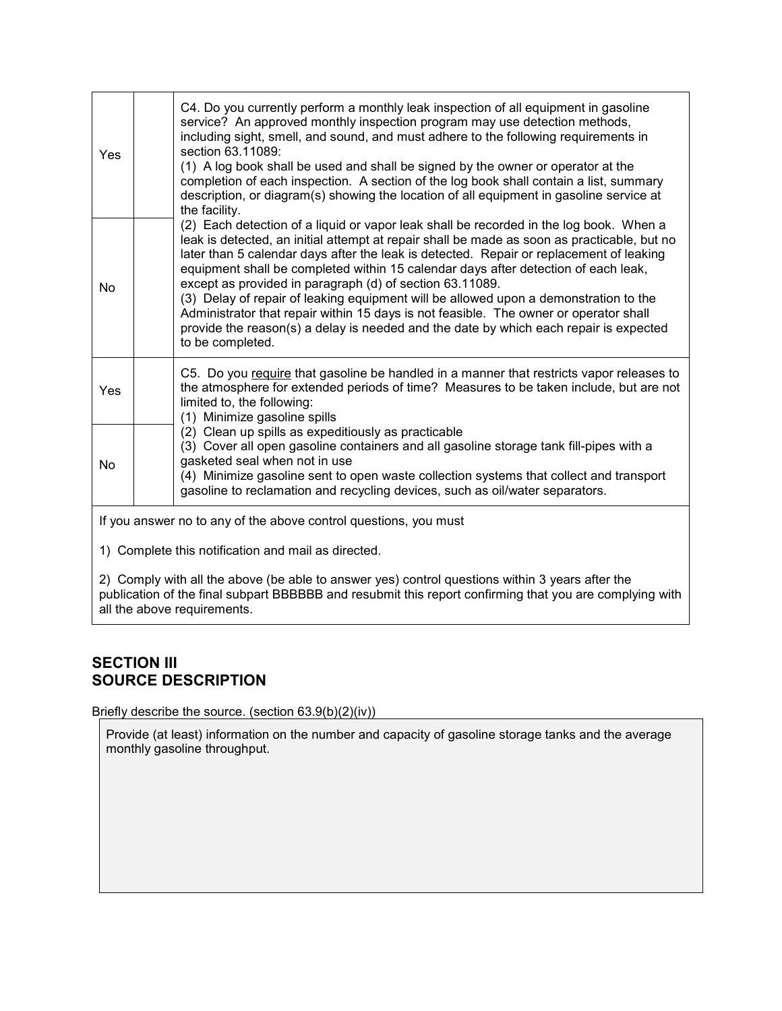| Yes                                                              |  | C4. Do you currently perform a monthly leak inspection of all equipment in gasoline<br>service? An approved monthly inspection program may use detection methods,<br>including sight, smell, and sound, and must adhere to the following requirements in<br>section 63.11089:<br>(1) A log book shall be used and shall be signed by the owner or operator at the<br>completion of each inspection. A section of the log book shall contain a list, summary<br>description, or diagram(s) showing the location of all equipment in gasoline service at<br>the facility.                                                                                                                                                          |
|------------------------------------------------------------------|--|----------------------------------------------------------------------------------------------------------------------------------------------------------------------------------------------------------------------------------------------------------------------------------------------------------------------------------------------------------------------------------------------------------------------------------------------------------------------------------------------------------------------------------------------------------------------------------------------------------------------------------------------------------------------------------------------------------------------------------|
| No                                                               |  | (2) Each detection of a liquid or vapor leak shall be recorded in the log book. When a<br>leak is detected, an initial attempt at repair shall be made as soon as practicable, but no<br>later than 5 calendar days after the leak is detected. Repair or replacement of leaking<br>equipment shall be completed within 15 calendar days after detection of each leak,<br>except as provided in paragraph (d) of section 63.11089.<br>(3) Delay of repair of leaking equipment will be allowed upon a demonstration to the<br>Administrator that repair within 15 days is not feasible. The owner or operator shall<br>provide the reason(s) a delay is needed and the date by which each repair is expected<br>to be completed. |
| Yes                                                              |  | C5. Do you require that gasoline be handled in a manner that restricts vapor releases to<br>the atmosphere for extended periods of time? Measures to be taken include, but are not<br>limited to, the following:<br>(1) Minimize gasoline spills                                                                                                                                                                                                                                                                                                                                                                                                                                                                                 |
| No                                                               |  | (2) Clean up spills as expeditiously as practicable<br>(3) Cover all open gasoline containers and all gasoline storage tank fill-pipes with a<br>gasketed seal when not in use<br>(4) Minimize gasoline sent to open waste collection systems that collect and transport<br>gasoline to reclamation and recycling devices, such as oil/water separators.                                                                                                                                                                                                                                                                                                                                                                         |
| If you answer no to any of the above control questions, you must |  |                                                                                                                                                                                                                                                                                                                                                                                                                                                                                                                                                                                                                                                                                                                                  |
| 1) Complete this notification and mail as directed.              |  |                                                                                                                                                                                                                                                                                                                                                                                                                                                                                                                                                                                                                                                                                                                                  |
|                                                                  |  | 2) Comply with all the above (be able to answer yes) control questions within 3 years after the<br>publication of the final subpart BBBBBB and resubmit this report confirming that you are complying with                                                                                                                                                                                                                                                                                                                                                                                                                                                                                                                       |

# **SECTION III SOURCE DESCRIPTION**

all the above requirements.

Briefly describe the source. (section 63.9(b)(2)(iv))

Provide (at least) information on the number and capacity of gasoline storage tanks and the average monthly gasoline throughput.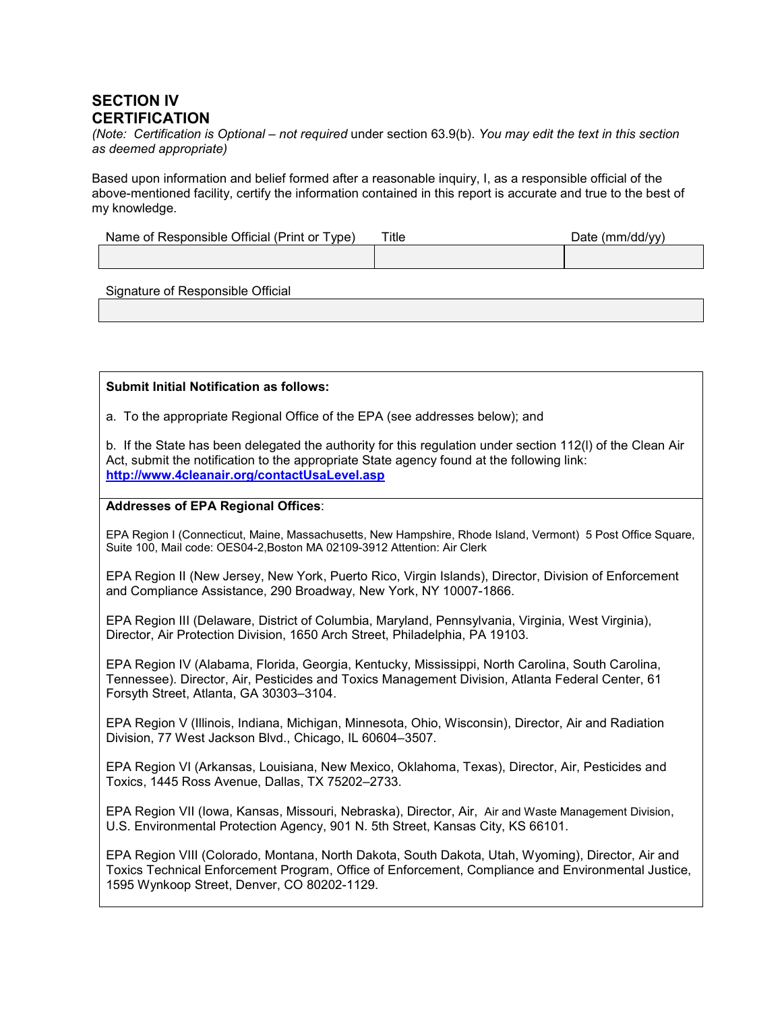## **SECTION IV CERTIFICATION**

*(Note: Certification is Optional – not required* under section 63.9(b). *You may edit the text in this section as deemed appropriate)*

Based upon information and belief formed after a reasonable inquiry, I, as a responsible official of the above-mentioned facility, certify the information contained in this report is accurate and true to the best of my knowledge.

| Name of Responsible Official (Print or Type) | $t$ itle | Date $(mm/dd/yy)$ |
|----------------------------------------------|----------|-------------------|
|                                              |          |                   |

Signature of Responsible Official

#### **Submit Initial Notification as follows:**

a. To the appropriate Regional Office of the EPA (see addresses below); and

b. If the State has been delegated the authority for this regulation under section 112(l) of the Clean Air Act, submit the notification to the appropriate State agency found at the following link: **<http://www.4cleanair.org/contactUsaLevel.asp>**

### **Addresses of EPA Regional Offices**:

EPA Region I (Connecticut, Maine, Massachusetts, New Hampshire, Rhode Island, Vermont) 5 Post Office Square, Suite 100, Mail code: OES04-2,Boston MA 02109-3912 Attention: Air Clerk

EPA Region II (New Jersey, New York, Puerto Rico, Virgin Islands), Director, Division of Enforcement and Compliance Assistance, 290 Broadway, New York, NY 10007-1866.

EPA Region III (Delaware, District of Columbia, Maryland, Pennsylvania, Virginia, West Virginia), Director, Air Protection Division, 1650 Arch Street, Philadelphia, PA 19103.

EPA Region IV (Alabama, Florida, Georgia, Kentucky, Mississippi, North Carolina, South Carolina, Tennessee). Director, Air, Pesticides and Toxics Management Division, Atlanta Federal Center, 61 Forsyth Street, Atlanta, GA 30303–3104.

EPA Region V (Illinois, Indiana, Michigan, Minnesota, Ohio, Wisconsin), Director, Air and Radiation Division, 77 West Jackson Blvd., Chicago, IL 60604–3507.

EPA Region VI (Arkansas, Louisiana, New Mexico, Oklahoma, Texas), Director, Air, Pesticides and Toxics, 1445 Ross Avenue, Dallas, TX 75202–2733.

EPA Region VII (Iowa, Kansas, Missouri, Nebraska), Director, Air, Air and Waste Management Division, U.S. Environmental Protection Agency, 901 N. 5th Street, Kansas City, KS 66101.

EPA Region VIII (Colorado, Montana, North Dakota, South Dakota, Utah, Wyoming), Director, Air and Toxics Technical Enforcement Program, Office of Enforcement, Compliance and Environmental Justice, 1595 Wynkoop Street, Denver, CO 80202-1129.